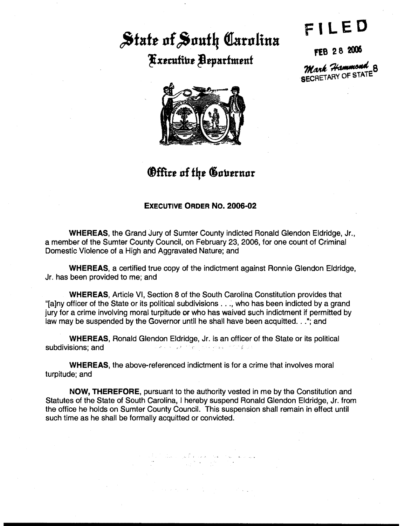## State of South Carolina **Fxecutive Bepartment**

FILED

FEB 28 2006

**Mark Hammond 8**<br>SECRETARY OF STATE



**Office of the Governor** 

## **EXECUTIVE ORDER NO. 2006-02**

**WHEREAS**, the Grand Jury of Sumter County indicted Ronald Glendon Eldridge, Jr., a member of the Sumter County Council, on February 23, 2006, for one count of Criminal Domestic Violence of a High and Aggravated Nature: and

**WHEREAS, a certified true copy of the indictment against Ronnie Glendon Eldridge,** Jr. has been provided to me; and

**WHEREAS, Article VI, Section 8 of the South Carolina Constitution provides that** "[a]ny officer of the State or its political subdivisions . . ., who has been indicted by a grand jury for a crime involving moral turpitude or who has waived such indictment if permitted by law may be suspended by the Governor until he shall have been acquitted. . ."; and

**WHEREAS, Ronald Glendon Eldridge, Jr. is an officer of the State or its political** 人名英格兰 医无骨盆的 化聚合物 经海军人资产的 盖尔德斯 subdivisions; and

**WHEREAS, the above-referenced indictment is for a crime that involves moral** turpitude; and

NOW, THEREFORE, pursuant to the authority vested in me by the Constitution and Statutes of the State of South Carolina, I hereby suspend Ronald Glendon Eldridge, Jr. from the office he holds on Sumter County Council. This suspension shall remain in effect until such time as he shall be formally acquitted or convicted.

المولاد العملاء الجمعية الأكملي المستقيلة.<br>- المستقيلة المستقيلة<br>- المستقيلة المستقيلة.